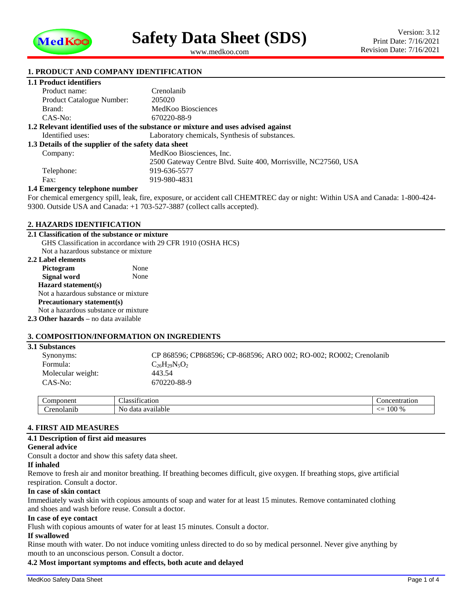

<span id="page-0-1"></span><span id="page-0-0"></span>www.medkoo.com

## **1. PRODUCT AND COMPANY IDENTIFICATION**

## **1.1 Product identifiers**

| Product name:                                                                     | Crenolanib                                                     |  |  |  |
|-----------------------------------------------------------------------------------|----------------------------------------------------------------|--|--|--|
| <b>Product Catalogue Number:</b>                                                  | 205020                                                         |  |  |  |
| Brand:                                                                            | MedKoo Biosciences                                             |  |  |  |
| $CAS-No:$                                                                         | 670220-88-9                                                    |  |  |  |
| 1.2 Relevant identified uses of the substance or mixture and uses advised against |                                                                |  |  |  |
| Identified uses:                                                                  | Laboratory chemicals, Synthesis of substances.                 |  |  |  |
| 1.3 Details of the supplier of the safety data sheet                              |                                                                |  |  |  |
| Company:                                                                          | MedKoo Biosciences, Inc.                                       |  |  |  |
|                                                                                   | 2500 Gateway Centre Blyd. Suite 400, Morrisville, NC27560, USA |  |  |  |
| Telephone:                                                                        | 919-636-5577                                                   |  |  |  |
| Fax:                                                                              | 919-980-4831                                                   |  |  |  |
| 1.4 Emergency telephone number                                                    |                                                                |  |  |  |

For chemical emergency spill, leak, fire, exposure, or accident call CHEMTREC day or night: Within USA and Canada: 1-800-424- 9300. Outside USA and Canada: +1 703-527-3887 (collect calls accepted).

#### **2. HAZARDS IDENTIFICATION**

**2.1 Classification of the substance or mixture** GHS Classification in accordance with 29 CFR 1910 (OSHA HCS) Not a hazardous substance or mixture

#### **2.2 Label elements**

| <i><b>2.4 DADU CRIIICHI</b>S</i>             |      |  |  |  |
|----------------------------------------------|------|--|--|--|
| Pictogram                                    | None |  |  |  |
| Signal word                                  | None |  |  |  |
| Hazard statement(s)                          |      |  |  |  |
| Not a hazardous substance or mixture         |      |  |  |  |
| Precautionary statement(s)                   |      |  |  |  |
| Not a hazardous substance or mixture         |      |  |  |  |
| <b>2.3 Other hazards</b> – no data available |      |  |  |  |
|                                              |      |  |  |  |

## **3. COMPOSITION/INFORMATION ON INGREDIENTS**

#### **3.1 Substances**

| Synonyms:         | CP 868596; CP868596; CP-868596; ARO 002; RO-002; RO002; Crenolanib |
|-------------------|--------------------------------------------------------------------|
| Formula:          | $C_{26}H_{29}N_5O_2$                                               |
| Molecular weight: | 443.54                                                             |
| CAS-No:           | 670220-88-9                                                        |

| ٦r<br>--- | $\sim$<br>$\sim$<br>نت ما<br>DІ        | ำทเ                                         |
|-----------|----------------------------------------|---------------------------------------------|
| . .       | $\sim$<br>N <sub>C</sub><br>12.<br>,,, | $\sim$<br>$\sim$<br>$\Omega$<br>⁄ —<br>,,,, |

## **4. FIRST AID MEASURES**

#### **4.1 Description of first aid measures**

#### **General advice**

Consult a doctor and show this safety data sheet.

#### **If inhaled**

Remove to fresh air and monitor breathing. If breathing becomes difficult, give oxygen. If breathing stops, give artificial respiration. Consult a doctor.

#### **In case of skin contact**

Immediately wash skin with copious amounts of soap and water for at least 15 minutes. Remove contaminated clothing and shoes and wash before reuse. Consult a doctor.

#### **In case of eye contact**

Flush with copious amounts of water for at least 15 minutes. Consult a doctor.

## **If swallowed**

Rinse mouth with water. Do not induce vomiting unless directed to do so by medical personnel. Never give anything by mouth to an unconscious person. Consult a doctor.

## **4.2 Most important symptoms and effects, both acute and delayed**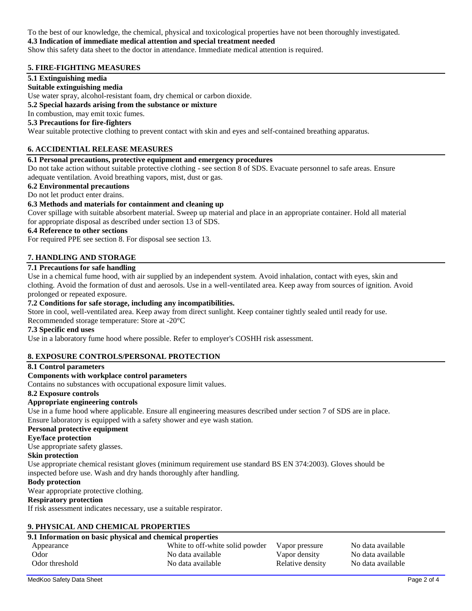To the best of our knowledge, the chemical, physical and toxicological properties have not been thoroughly investigated.

## **4.3 Indication of immediate medical attention and special treatment needed**

Show this safety data sheet to the doctor in attendance. Immediate medical attention is required.

## **5. FIRE-FIGHTING MEASURES**

## **5.1 Extinguishing media**

## **Suitable extinguishing media**

Use water spray, alcohol-resistant foam, dry chemical or carbon dioxide.

#### **5.2 Special hazards arising from the substance or mixture**

## In combustion, may emit toxic fumes.

## **5.3 Precautions for fire-fighters**

Wear suitable protective clothing to prevent contact with skin and eyes and self-contained breathing apparatus.

## **6. ACCIDENTIAL RELEASE MEASURES**

## **6.1 Personal precautions, protective equipment and emergency procedures**

Do not take action without suitable protective clothing - see section 8 of SDS. Evacuate personnel to safe areas. Ensure adequate ventilation. Avoid breathing vapors, mist, dust or gas.

#### **6.2 Environmental precautions**

#### Do not let product enter drains.

## **6.3 Methods and materials for containment and cleaning up**

Cover spillage with suitable absorbent material. Sweep up material and place in an appropriate container. Hold all material for appropriate disposal as described under section 13 of SDS.

## **6.4 Reference to other sections**

For required PPE see section 8. For disposal see section 13.

## **7. HANDLING AND STORAGE**

## **7.1 Precautions for safe handling**

Use in a chemical fume hood, with air supplied by an independent system. Avoid inhalation, contact with eyes, skin and clothing. Avoid the formation of dust and aerosols. Use in a well-ventilated area. Keep away from sources of ignition. Avoid prolonged or repeated exposure.

## **7.2 Conditions for safe storage, including any incompatibilities.**

Store in cool, well-ventilated area. Keep away from direct sunlight. Keep container tightly sealed until ready for use.

Recommended storage temperature: Store at -20°C

### **7.3 Specific end uses**

Use in a laboratory fume hood where possible. Refer to employer's COSHH risk assessment.

## **8. EXPOSURE CONTROLS/PERSONAL PROTECTION**

#### **8.1 Control parameters**

#### **Components with workplace control parameters**

Contains no substances with occupational exposure limit values.

#### **8.2 Exposure controls**

## **Appropriate engineering controls**

Use in a fume hood where applicable. Ensure all engineering measures described under section 7 of SDS are in place. Ensure laboratory is equipped with a safety shower and eye wash station.

## **Personal protective equipment**

## **Eye/face protection**

Use appropriate safety glasses.

#### **Skin protection**

Use appropriate chemical resistant gloves (minimum requirement use standard BS EN 374:2003). Gloves should be inspected before use. Wash and dry hands thoroughly after handling.

#### **Body protection**

Wear appropriate protective clothing.

#### **Respiratory protection**

If risk assessment indicates necessary, use a suitable respirator.

## **9. PHYSICAL AND CHEMICAL PROPERTIES**

### **9.1 Information on basic physical and chemical properties** Appearance a metally in the White to off-white solid powder Vapor pressure No data available Odor No data available Vapor density No data available Vapor density No data available Odor threshold No data available Relative density No data available Relative Mo data available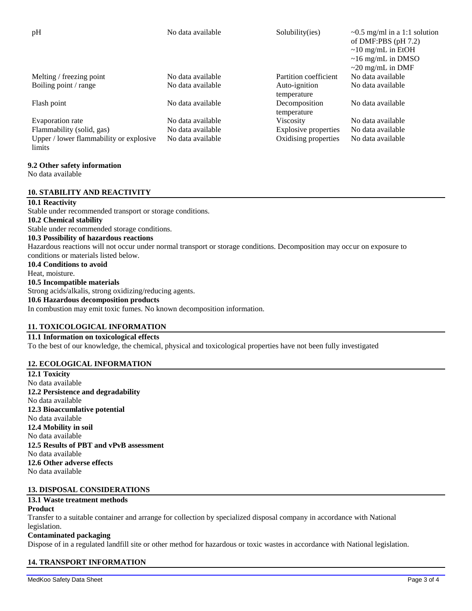| pH                                      | No data available | Solubility(ies)             | $\sim 0.5$ mg/ml in a 1:1 solution<br>of DMF:PBS $(pH 7.2)$<br>$\sim$ 10 mg/mL in EtOH<br>$\sim$ 16 mg/mL in DMSO<br>$\sim$ 20 mg/mL in DMF |
|-----------------------------------------|-------------------|-----------------------------|---------------------------------------------------------------------------------------------------------------------------------------------|
| Melting / freezing point                | No data available | Partition coefficient       | No data available                                                                                                                           |
| Boiling point / range                   | No data available | Auto-ignition               | No data available                                                                                                                           |
|                                         |                   | temperature                 |                                                                                                                                             |
| Flash point                             | No data available | Decomposition               | No data available                                                                                                                           |
|                                         |                   | temperature                 |                                                                                                                                             |
| Evaporation rate                        | No data available | <b>Viscosity</b>            | No data available                                                                                                                           |
| Flammability (solid, gas)               | No data available | <b>Explosive properties</b> | No data available                                                                                                                           |
| Upper / lower flammability or explosive | No data available | Oxidising properties        | No data available                                                                                                                           |

#### **9.2 Other safety information**

No data available

limits

## **10. STABILITY AND REACTIVITY**

#### **10.1 Reactivity**

Stable under recommended transport or storage conditions. **10.2 Chemical stability** Stable under recommended storage conditions. **10.3 Possibility of hazardous reactions** Hazardous reactions will not occur under normal transport or storage conditions. Decomposition may occur on exposure to conditions or materials listed below. **10.4 Conditions to avoid** Heat, moisture. **10.5 Incompatible materials** Strong acids/alkalis, strong oxidizing/reducing agents.

# **10.6 Hazardous decomposition products**

In combustion may emit toxic fumes. No known decomposition information.

## **11. TOXICOLOGICAL INFORMATION**

## **11.1 Information on toxicological effects**

To the best of our knowledge, the chemical, physical and toxicological properties have not been fully investigated

#### **12. ECOLOGICAL INFORMATION**

**12.1 Toxicity** No data available **12.2 Persistence and degradability** No data available **12.3 Bioaccumlative potential** No data available **12.4 Mobility in soil** No data available **12.5 Results of PBT and vPvB assessment** No data available **12.6 Other adverse effects** No data available

## **13. DISPOSAL CONSIDERATIONS**

## **13.1 Waste treatment methods**

#### **Product**

Transfer to a suitable container and arrange for collection by specialized disposal company in accordance with National legislation.

#### **Contaminated packaging**

Dispose of in a regulated landfill site or other method for hazardous or toxic wastes in accordance with National legislation.

## **14. TRANSPORT INFORMATION**